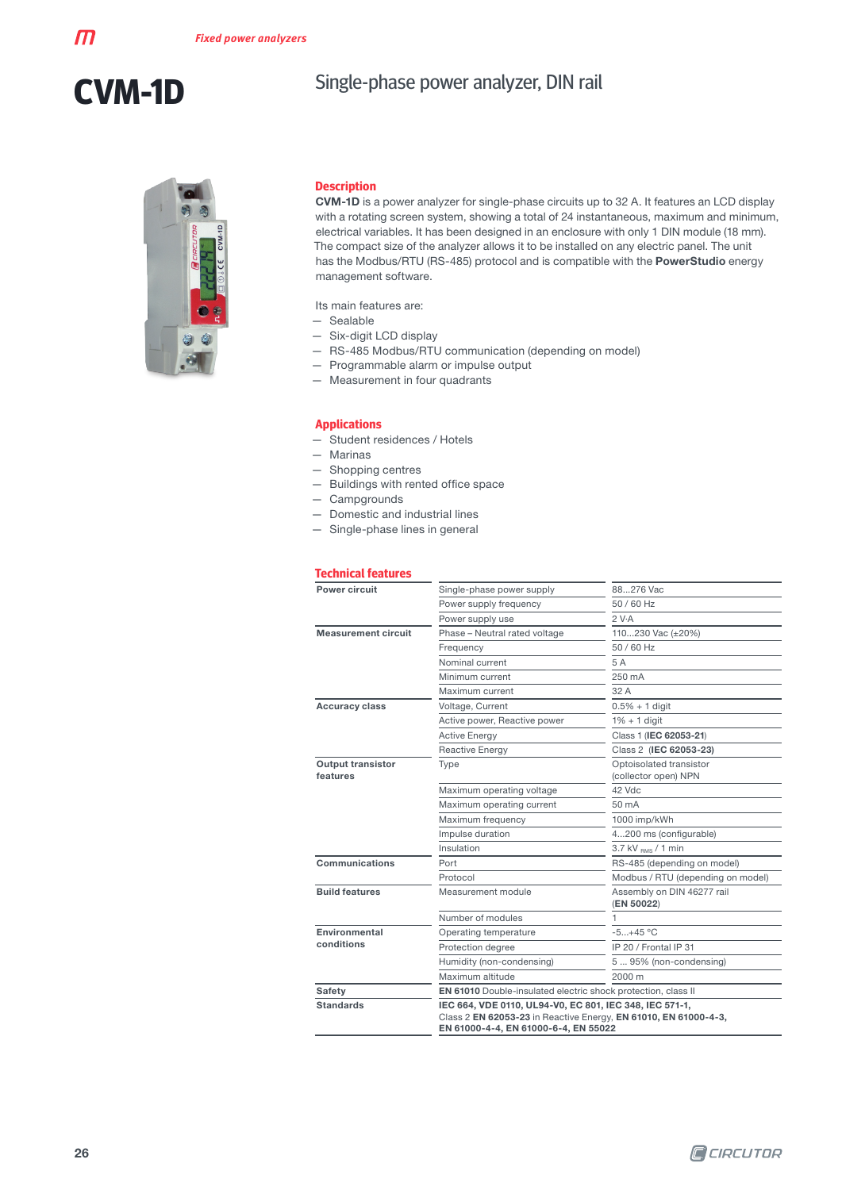$\boldsymbol{\mathsf{m}}$ 

### Single-phase power analyzer, DIN rail



#### **Description**

CVM-1D is a power analyzer for single-phase circuits up to 32 A. It features an LCD display with a rotating screen system, showing a total of 24 instantaneous, maximum and minimum, electrical variables. It has been designed in an enclosure with only 1 DIN module (18 mm). The compact size of the analyzer allows it to be installed on any electric panel. The unit has the Modbus/RTU (RS-485) protocol and is compatible with the PowerStudio energy management software.

Its main features are:

- Sealable
- Six-digit LCD display
- RS-485 Modbus/RTU communication (depending on model)
- Programmable alarm or impulse output
- Measurement in four quadrants

#### **Applications**

- Student residences / Hotels
- Marinas
- Shopping centres
- Buildings with rented office space
- Campgrounds
- Domestic and industrial lines
- Single-phase lines in general

#### **Technical features**

| Power circuit                        | Single-phase power supply                                                                                                                                          | 88276 Vac                                       |  |  |
|--------------------------------------|--------------------------------------------------------------------------------------------------------------------------------------------------------------------|-------------------------------------------------|--|--|
|                                      | Power supply frequency                                                                                                                                             | 50 / 60 Hz                                      |  |  |
|                                      | Power supply use                                                                                                                                                   | 2 V-A                                           |  |  |
| <b>Measurement circuit</b>           | Phase - Neutral rated voltage                                                                                                                                      | 110230 Vac (±20%)                               |  |  |
|                                      | Frequency                                                                                                                                                          | 50 / 60 Hz                                      |  |  |
|                                      | Nominal current                                                                                                                                                    | 5 A                                             |  |  |
|                                      | Minimum current                                                                                                                                                    | 250 mA                                          |  |  |
|                                      | Maximum current                                                                                                                                                    | 32 A                                            |  |  |
| <b>Accuracy class</b>                | Voltage, Current                                                                                                                                                   | $0.5% + 1$ digit                                |  |  |
|                                      | Active power, Reactive power                                                                                                                                       | $1\% + 1$ digit                                 |  |  |
|                                      | <b>Active Energy</b>                                                                                                                                               | Class 1 (IEC 62053-21)                          |  |  |
|                                      | <b>Reactive Energy</b>                                                                                                                                             | Class 2 (IEC 62053-23)                          |  |  |
| <b>Output transistor</b><br>features | Type                                                                                                                                                               | Optoisolated transistor<br>(collector open) NPN |  |  |
|                                      | Maximum operating voltage                                                                                                                                          | 42 Vdc                                          |  |  |
|                                      | Maximum operating current                                                                                                                                          | 50 mA                                           |  |  |
|                                      | Maximum frequency                                                                                                                                                  | 1000 imp/kWh                                    |  |  |
|                                      | Impulse duration                                                                                                                                                   | 4200 ms (configurable)                          |  |  |
|                                      | Insulation                                                                                                                                                         | $3.7$ kV $_{BMS}$ / 1 min                       |  |  |
| Communications                       | Port                                                                                                                                                               | RS-485 (depending on model)                     |  |  |
|                                      | Protocol                                                                                                                                                           | Modbus / RTU (depending on model)               |  |  |
| <b>Build features</b>                | Measurement module                                                                                                                                                 | Assembly on DIN 46277 rail<br>(EN 50022)        |  |  |
|                                      | Number of modules                                                                                                                                                  |                                                 |  |  |
| Environmental                        | Operating temperature                                                                                                                                              | $-5+45 °C$                                      |  |  |
| conditions                           | Protection degree                                                                                                                                                  | IP 20 / Frontal IP 31                           |  |  |
|                                      | Humidity (non-condensing)                                                                                                                                          | 5 95% (non-condensing)                          |  |  |
|                                      | Maximum altitude                                                                                                                                                   | 2000 m                                          |  |  |
| <b>Safety</b>                        | EN 61010 Double-insulated electric shock protection, class II                                                                                                      |                                                 |  |  |
| <b>Standards</b>                     | IEC 664, VDE 0110, UL94-V0, EC 801, IEC 348, IEC 571-1,<br>Class 2 EN 62053-23 in Reactive Energy, EN 61010, EN 61000-4-3,<br>EN 61000-4-4, EN 61000-6-4, EN 55022 |                                                 |  |  |